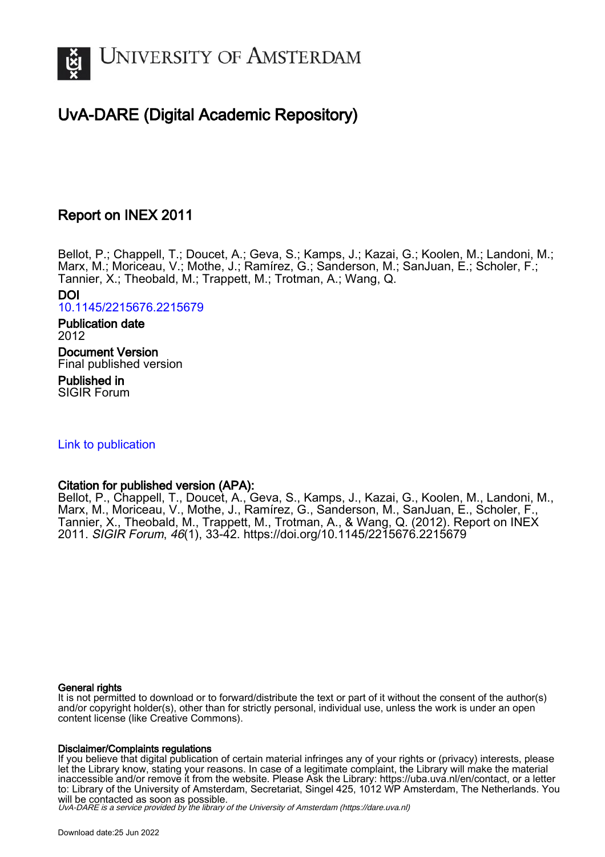

# UvA-DARE (Digital Academic Repository)

## Report on INEX 2011

Bellot, P.; Chappell, T.; Doucet, A.; Geva, S.; Kamps, J.; Kazai, G.; Koolen, M.; Landoni, M.; Marx, M.; Moriceau, V.; Mothe, J.; Ramírez, G.; Sanderson, M.; SanJuan, E.; Scholer, F.; Tannier, X.; Theobald, M.; Trappett, M.; Trotman, A.; Wang, Q. DOI

[10.1145/2215676.2215679](https://doi.org/10.1145/2215676.2215679)

Publication date 2012 Document Version

Final published version

Published in SIGIR Forum

#### [Link to publication](https://dare.uva.nl/personal/pure/en/publications/report-on-inex-2011(f23e5ffa-12fd-443a-a98d-3f94f8e5fdc7).html)

#### Citation for published version (APA):

Bellot, P., Chappell, T., Doucet, A., Geva, S., Kamps, J., Kazai, G., Koolen, M., Landoni, M., Marx, M., Moriceau, V., Mothe, J., Ramírez, G., Sanderson, M., SanJuan, E., Scholer, F., Tannier, X., Theobald, M., Trappett, M., Trotman, A., & Wang, Q. (2012). Report on INEX 2011. SIGIR Forum, 46(1), 33-42. <https://doi.org/10.1145/2215676.2215679>

#### General rights

It is not permitted to download or to forward/distribute the text or part of it without the consent of the author(s) and/or copyright holder(s), other than for strictly personal, individual use, unless the work is under an open content license (like Creative Commons).

#### Disclaimer/Complaints regulations

If you believe that digital publication of certain material infringes any of your rights or (privacy) interests, please let the Library know, stating your reasons. In case of a legitimate complaint, the Library will make the material inaccessible and/or remove it from the website. Please Ask the Library: https://uba.uva.nl/en/contact, or a letter to: Library of the University of Amsterdam, Secretariat, Singel 425, 1012 WP Amsterdam, The Netherlands. You will be contacted as soon as possible.

UvA-DARE is a service provided by the library of the University of Amsterdam (http*s*://dare.uva.nl)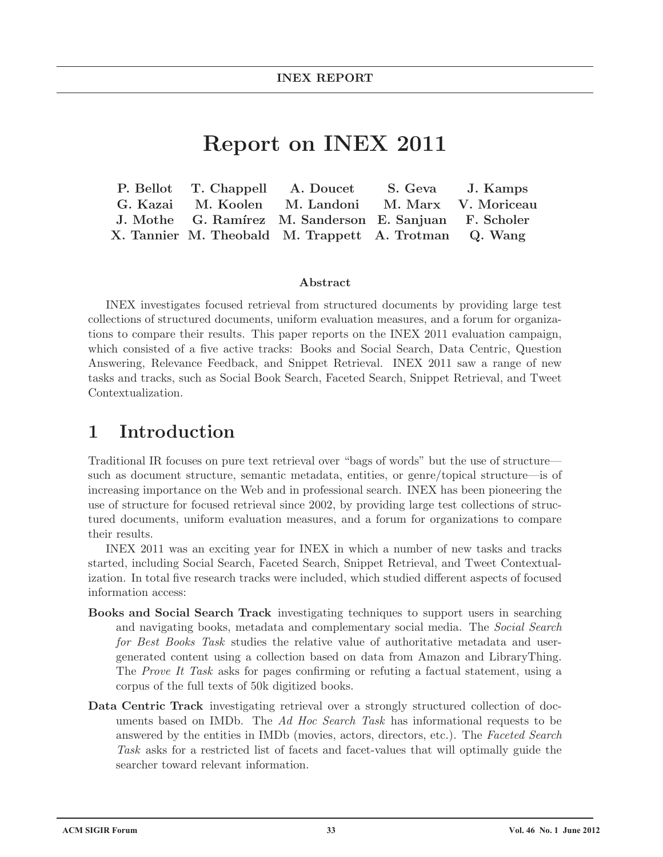# **Report on INEX 2011**

|  | P. Bellot T. Chappell A. Doucet S. Geva J. Kamps       |                     |
|--|--------------------------------------------------------|---------------------|
|  | G. Kazai M. Koolen M. Landoni                          | M. Marx V. Moriceau |
|  | J. Mothe G. Ramírez M. Sanderson E. Sanjuan F. Scholer |                     |
|  | X. Tannier M. Theobald M. Trappett A. Trotman Q. Wang  |                     |

#### **Abstract**

INEX investigates focused retrieval from structured documents by providing large test collections of structured documents, uniform evaluation measures, and a forum for organizations to compare their results. This paper reports on the INEX 2011 evaluation campaign, which consisted of a five active tracks: Books and Social Search, Data Centric, Question Answering, Relevance Feedback, and Snippet Retrieval. INEX 2011 saw a range of new tasks and tracks, such as Social Book Search, Faceted Search, Snippet Retrieval, and Tweet Contextualization.

## **1 Introduction**

Traditional IR focuses on pure text retrieval over "bags of words" but the use of structure such as document structure, semantic metadata, entities, or genre/topical structure—is of increasing importance on the Web and in professional search. INEX has been pioneering the use of structure for focused retrieval since 2002, by providing large test collections of structured documents, uniform evaluation measures, and a forum for organizations to compare their results.

INEX 2011 was an exciting year for INEX in which a number of new tasks and tracks started, including Social Search, Faceted Search, Snippet Retrieval, and Tweet Contextualization. In total five research tracks were included, which studied different aspects of focused information access:

- **Books and Social Search Track** investigating techniques to support users in searching and navigating books, metadata and complementary social media. The *Social Search for Best Books Task* studies the relative value of authoritative metadata and usergenerated content using a collection based on data from Amazon and LibraryThing. The *Prove It Task* asks for pages confirming or refuting a factual statement, using a corpus of the full texts of 50k digitized books.
- **Data Centric Track** investigating retrieval over a strongly structured collection of documents based on IMDb. The *Ad Hoc Search Task* has informational requests to be answered by the entities in IMDb (movies, actors, directors, etc.). The *Faceted Search* Task asks for a restricted list of facets and facet-values that will optimally guide the searcher toward relevant information.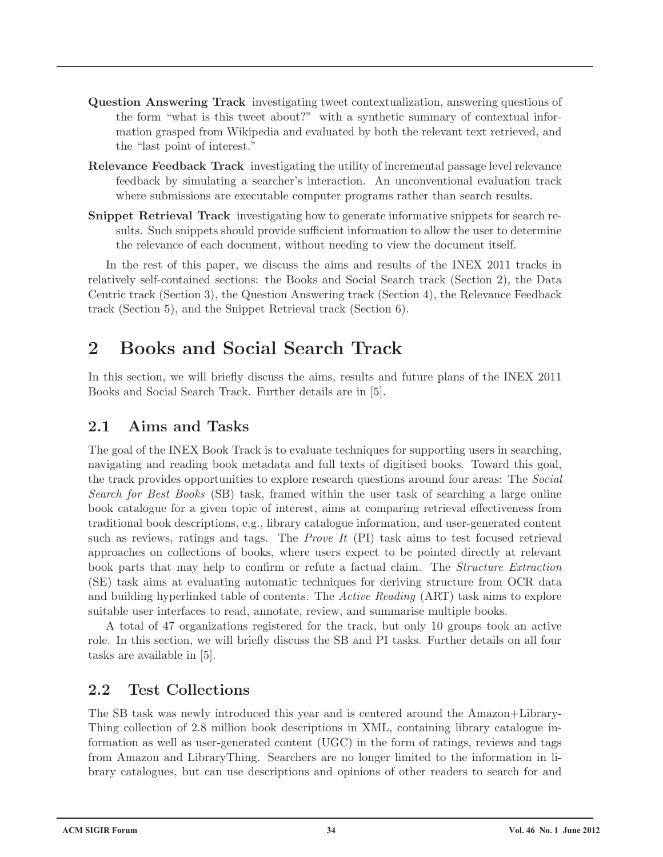- **Question Answering Track** investigating tweet contextualization, answering questions of the form "what is this tweet about?" with a synthetic summary of contextual information grasped from Wikipedia and evaluated by both the relevant text retrieved, and the "last point of interest."
- **Relevance Feedback Track** investigating the utility of incremental passage level relevance feedback by simulating a searcher's interaction. An unconventional evaluation track where submissions are executable computer programs rather than search results.
- **Snippet Retrieval Track** investigating how to generate informative snippets for search results. Such snippets should provide sufficient information to allow the user to determine the relevance of each document, without needing to view the document itself.

In the rest of this paper, we discuss the aims and results of the INEX 2011 tracks in relatively self-contained sections: the Books and Social Search track (Section 2), the Data Centric track (Section 3), the Question Answering track (Section 4), the Relevance Feedback track (Section 5), and the Snippet Retrieval track (Section 6).

# **2 Books and Social Search Track**

In this section, we will briefly discuss the aims, results and future plans of the INEX 2011 Books and Social Search Track. Further details are in [5].

### **2.1 Aims and Tasks**

The goal of the INEX Book Track is to evaluate techniques for supporting users in searching, navigating and reading book metadata and full texts of digitised books. Toward this goal, the track provides opportunities to explore research questions around four areas: The *Social Search for Best Books* (SB) task, framed within the user task of searching a large online book catalogue for a given topic of interest, aims at comparing retrieval effectiveness from traditional book descriptions, e.g., library catalogue information, and user-generated content such as reviews, ratings and tags. The *Prove It* (PI) task aims to test focused retrieval approaches on collections of books, where users expect to be pointed directly at relevant book parts that may help to confirm or refute a factual claim. The *Structure Extraction* (SE) task aims at evaluating automatic techniques for deriving structure from OCR data and building hyperlinked table of contents. The *Active Reading* (ART) task aims to explore suitable user interfaces to read, annotate, review, and summarise multiple books.

A total of 47 organizations registered for the track, but only 10 groups took an active role. In this section, we will briefly discuss the SB and PI tasks. Further details on all four tasks are available in [5].

### **2.2 Test Collections**

The SB task was newly introduced this year and is centered around the Amazon+Library-Thing collection of 2.8 million book descriptions in XML, containing library catalogue information as well as user-generated content (UGC) in the form of ratings, reviews and tags from Amazon and LibraryThing. Searchers are no longer limited to the information in library catalogues, but can use descriptions and opinions of other readers to search for and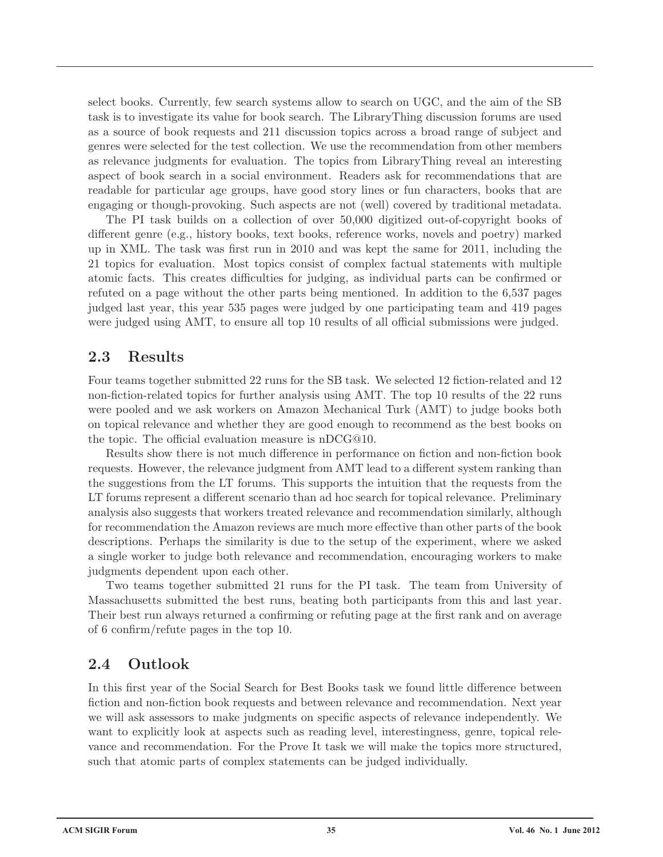select books. Currently, few search systems allow to search on UGC, and the aim of the SB task is to investigate its value for book search. The LibraryThing discussion forums are used as a source of book requests and 211 discussion topics across a broad range of subject and genres were selected for the test collection. We use the recommendation from other members as relevance judgments for evaluation. The topics from LibraryThing reveal an interesting aspect of book search in a social environment. Readers ask for recommendations that are readable for particular age groups, have good story lines or fun characters, books that are engaging or though-provoking. Such aspects are not (well) covered by traditional metadata.

The PI task builds on a collection of over 50,000 digitized out-of-copyright books of different genre (e.g., history books, text books, reference works, novels and poetry) marked up in XML. The task was first run in 2010 and was kept the same for 2011, including the 21 topics for evaluation. Most topics consist of complex factual statements with multiple atomic facts. This creates difficulties for judging, as individual parts can be confirmed or refuted on a page without the other parts being mentioned. In addition to the 6,537 pages judged last year, this year 535 pages were judged by one participating team and 419 pages were judged using AMT, to ensure all top 10 results of all official submissions were judged.

#### **2.3 Results**

Four teams together submitted 22 runs for the SB task. We selected 12 fiction-related and 12 non-fiction-related topics for further analysis using AMT. The top 10 results of the 22 runs were pooled and we ask workers on Amazon Mechanical Turk (AMT) to judge books both on topical relevance and whether they are good enough to recommend as the best books on the topic. The official evaluation measure is nDCG@10.

Results show there is not much difference in performance on fiction and non-fiction book requests. However, the relevance judgment from AMT lead to a different system ranking than the suggestions from the LT forums. This supports the intuition that the requests from the LT forums represent a different scenario than ad hoc search for topical relevance. Preliminary analysis also suggests that workers treated relevance and recommendation similarly, although for recommendation the Amazon reviews are much more effective than other parts of the book descriptions. Perhaps the similarity is due to the setup of the experiment, where we asked a single worker to judge both relevance and recommendation, encouraging workers to make judgments dependent upon each other.

Two teams together submitted 21 runs for the PI task. The team from University of Massachusetts submitted the best runs, beating both participants from this and last year. Their best run always returned a confirming or refuting page at the first rank and on average of 6 confirm/refute pages in the top 10.

### **2.4 Outlook**

In this first year of the Social Search for Best Books task we found little difference between fiction and non-fiction book requests and between relevance and recommendation. Next year we will ask assessors to make judgments on specific aspects of relevance independently. We want to explicitly look at aspects such as reading level, interestingness, genre, topical relevance and recommendation. For the Prove It task we will make the topics more structured, such that atomic parts of complex statements can be judged individually.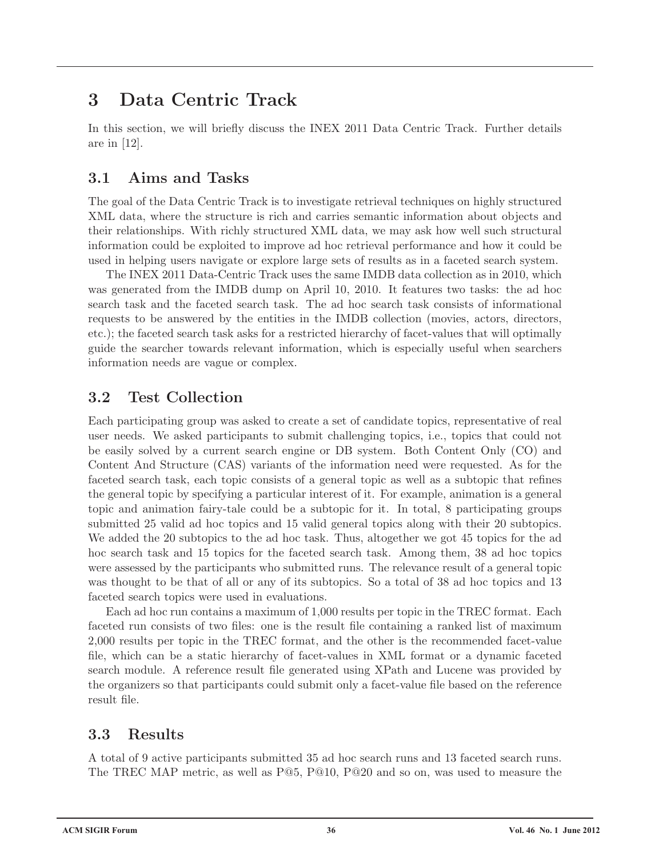# **3 Data Centric Track**

In this section, we will briefly discuss the INEX 2011 Data Centric Track. Further details are in [12].

### **3.1 Aims and Tasks**

The goal of the Data Centric Track is to investigate retrieval techniques on highly structured XML data, where the structure is rich and carries semantic information about objects and their relationships. With richly structured XML data, we may ask how well such structural information could be exploited to improve ad hoc retrieval performance and how it could be used in helping users navigate or explore large sets of results as in a faceted search system.

The INEX 2011 Data-Centric Track uses the same IMDB data collection as in 2010, which was generated from the IMDB dump on April 10, 2010. It features two tasks: the ad hoc search task and the faceted search task. The ad hoc search task consists of informational requests to be answered by the entities in the IMDB collection (movies, actors, directors, etc.); the faceted search task asks for a restricted hierarchy of facet-values that will optimally guide the searcher towards relevant information, which is especially useful when searchers information needs are vague or complex.

## **3.2 Test Collection**

Each participating group was asked to create a set of candidate topics, representative of real user needs. We asked participants to submit challenging topics, i.e., topics that could not be easily solved by a current search engine or DB system. Both Content Only (CO) and Content And Structure (CAS) variants of the information need were requested. As for the faceted search task, each topic consists of a general topic as well as a subtopic that refines the general topic by specifying a particular interest of it. For example, animation is a general topic and animation fairy-tale could be a subtopic for it. In total, 8 participating groups submitted 25 valid ad hoc topics and 15 valid general topics along with their 20 subtopics. We added the 20 subtopics to the ad hoc task. Thus, altogether we got 45 topics for the ad hoc search task and 15 topics for the faceted search task. Among them, 38 ad hoc topics were assessed by the participants who submitted runs. The relevance result of a general topic was thought to be that of all or any of its subtopics. So a total of 38 ad hoc topics and 13 faceted search topics were used in evaluations.

Each ad hoc run contains a maximum of 1,000 results per topic in the TREC format. Each faceted run consists of two files: one is the result file containing a ranked list of maximum 2,000 results per topic in the TREC format, and the other is the recommended facet-value file, which can be a static hierarchy of facet-values in XML format or a dynamic faceted search module. A reference result file generated using XPath and Lucene was provided by the organizers so that participants could submit only a facet-value file based on the reference result file.

## **3.3 Results**

A total of 9 active participants submitted 35 ad hoc search runs and 13 faceted search runs. The TREC MAP metric, as well as P@5, P@10, P@20 and so on, was used to measure the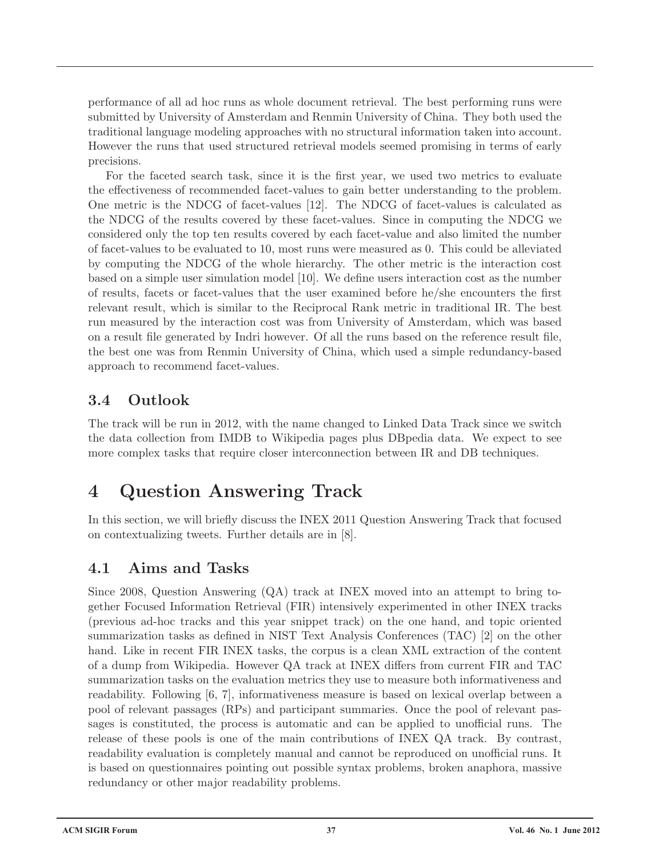performance of all ad hoc runs as whole document retrieval. The best performing runs were submitted by University of Amsterdam and Renmin University of China. They both used the traditional language modeling approaches with no structural information taken into account. However the runs that used structured retrieval models seemed promising in terms of early precisions.

For the faceted search task, since it is the first year, we used two metrics to evaluate the effectiveness of recommended facet-values to gain better understanding to the problem. One metric is the NDCG of facet-values [12]. The NDCG of facet-values is calculated as the NDCG of the results covered by these facet-values. Since in computing the NDCG we considered only the top ten results covered by each facet-value and also limited the number of facet-values to be evaluated to 10, most runs were measured as 0. This could be alleviated by computing the NDCG of the whole hierarchy. The other metric is the interaction cost based on a simple user simulation model [10]. We define users interaction cost as the number of results, facets or facet-values that the user examined before he/she encounters the first relevant result, which is similar to the Reciprocal Rank metric in traditional IR. The best run measured by the interaction cost was from University of Amsterdam, which was based on a result file generated by Indri however. Of all the runs based on the reference result file, the best one was from Renmin University of China, which used a simple redundancy-based approach to recommend facet-values.

### **3.4 Outlook**

The track will be run in 2012, with the name changed to Linked Data Track since we switch the data collection from IMDB to Wikipedia pages plus DBpedia data. We expect to see more complex tasks that require closer interconnection between IR and DB techniques.

# **4 Question Answering Track**

In this section, we will briefly discuss the INEX 2011 Question Answering Track that focused on contextualizing tweets. Further details are in [8].

### **4.1 Aims and Tasks**

Since 2008, Question Answering (QA) track at INEX moved into an attempt to bring together Focused Information Retrieval (FIR) intensively experimented in other INEX tracks (previous ad-hoc tracks and this year snippet track) on the one hand, and topic oriented summarization tasks as defined in NIST Text Analysis Conferences (TAC) [2] on the other hand. Like in recent FIR INEX tasks, the corpus is a clean XML extraction of the content of a dump from Wikipedia. However QA track at INEX differs from current FIR and TAC summarization tasks on the evaluation metrics they use to measure both informativeness and readability. Following [6, 7], informativeness measure is based on lexical overlap between a pool of relevant passages (RPs) and participant summaries. Once the pool of relevant passages is constituted, the process is automatic and can be applied to unofficial runs. The release of these pools is one of the main contributions of INEX QA track. By contrast, readability evaluation is completely manual and cannot be reproduced on unofficial runs. It is based on questionnaires pointing out possible syntax problems, broken anaphora, massive redundancy or other major readability problems.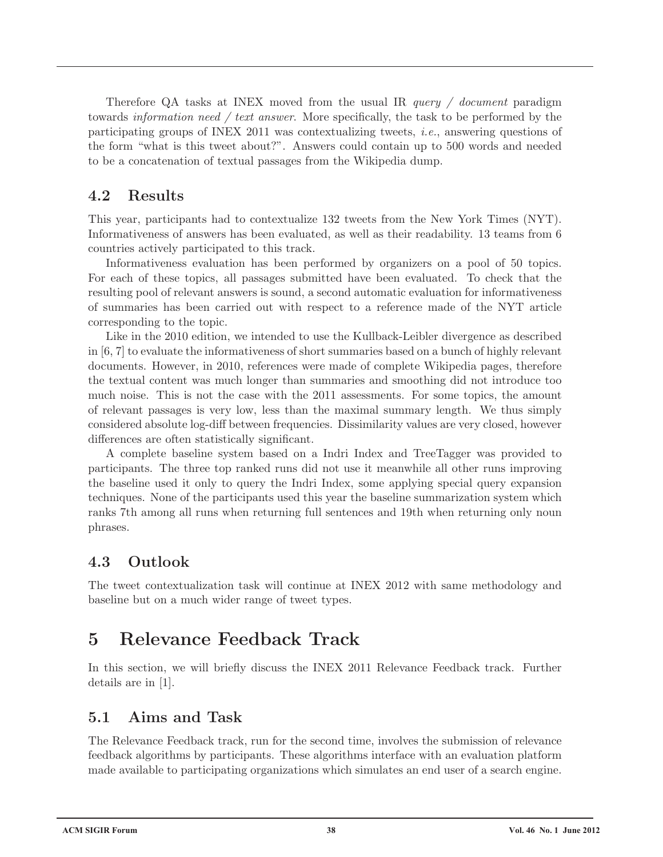Therefore QA tasks at INEX moved from the usual IR *query / document* paradigm towards *information need / text answer*. More specifically, the task to be performed by the participating groups of INEX 2011 was contextualizing tweets, *i.e.*, answering questions of the form "what is this tweet about?". Answers could contain up to 500 words and needed to be a concatenation of textual passages from the Wikipedia dump.

### **4.2 Results**

This year, participants had to contextualize 132 tweets from the New York Times (NYT). Informativeness of answers has been evaluated, as well as their readability. 13 teams from 6 countries actively participated to this track.

Informativeness evaluation has been performed by organizers on a pool of 50 topics. For each of these topics, all passages submitted have been evaluated. To check that the resulting pool of relevant answers is sound, a second automatic evaluation for informativeness of summaries has been carried out with respect to a reference made of the NYT article corresponding to the topic.

Like in the 2010 edition, we intended to use the Kullback-Leibler divergence as described in [6, 7] to evaluate the informativeness of short summaries based on a bunch of highly relevant documents. However, in 2010, references were made of complete Wikipedia pages, therefore the textual content was much longer than summaries and smoothing did not introduce too much noise. This is not the case with the 2011 assessments. For some topics, the amount of relevant passages is very low, less than the maximal summary length. We thus simply considered absolute log-diff between frequencies. Dissimilarity values are very closed, however differences are often statistically significant.

A complete baseline system based on a Indri Index and TreeTagger was provided to participants. The three top ranked runs did not use it meanwhile all other runs improving the baseline used it only to query the Indri Index, some applying special query expansion techniques. None of the participants used this year the baseline summarization system which ranks 7th among all runs when returning full sentences and 19th when returning only noun phrases.

### **4.3 Outlook**

The tweet contextualization task will continue at INEX 2012 with same methodology and baseline but on a much wider range of tweet types.

# **5 Relevance Feedback Track**

In this section, we will briefly discuss the INEX 2011 Relevance Feedback track. Further details are in [1].

### **5.1 Aims and Task**

The Relevance Feedback track, run for the second time, involves the submission of relevance feedback algorithms by participants. These algorithms interface with an evaluation platform made available to participating organizations which simulates an end user of a search engine.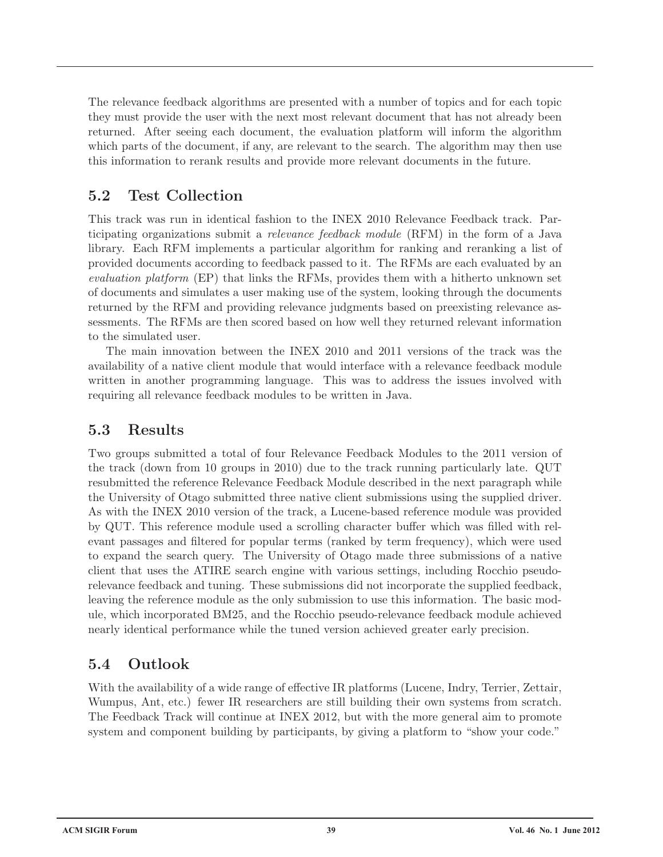The relevance feedback algorithms are presented with a number of topics and for each topic they must provide the user with the next most relevant document that has not already been returned. After seeing each document, the evaluation platform will inform the algorithm which parts of the document, if any, are relevant to the search. The algorithm may then use this information to rerank results and provide more relevant documents in the future.

### **5.2 Test Collection**

This track was run in identical fashion to the INEX 2010 Relevance Feedback track. Participating organizations submit a *relevance feedback module* (RFM) in the form of a Java library. Each RFM implements a particular algorithm for ranking and reranking a list of provided documents according to feedback passed to it. The RFMs are each evaluated by an *evaluation platform* (EP) that links the RFMs, provides them with a hitherto unknown set of documents and simulates a user making use of the system, looking through the documents returned by the RFM and providing relevance judgments based on preexisting relevance assessments. The RFMs are then scored based on how well they returned relevant information to the simulated user.

The main innovation between the INEX 2010 and 2011 versions of the track was the availability of a native client module that would interface with a relevance feedback module written in another programming language. This was to address the issues involved with requiring all relevance feedback modules to be written in Java.

### **5.3 Results**

Two groups submitted a total of four Relevance Feedback Modules to the 2011 version of the track (down from 10 groups in 2010) due to the track running particularly late. QUT resubmitted the reference Relevance Feedback Module described in the next paragraph while the University of Otago submitted three native client submissions using the supplied driver. As with the INEX 2010 version of the track, a Lucene-based reference module was provided by QUT. This reference module used a scrolling character buffer which was filled with relevant passages and filtered for popular terms (ranked by term frequency), which were used to expand the search query. The University of Otago made three submissions of a native client that uses the ATIRE search engine with various settings, including Rocchio pseudorelevance feedback and tuning. These submissions did not incorporate the supplied feedback, leaving the reference module as the only submission to use this information. The basic module, which incorporated BM25, and the Rocchio pseudo-relevance feedback module achieved nearly identical performance while the tuned version achieved greater early precision.

### **5.4 Outlook**

With the availability of a wide range of effective IR platforms (Lucene, Indry, Terrier, Zettair, Wumpus, Ant, etc.) fewer IR researchers are still building their own systems from scratch. The Feedback Track will continue at INEX 2012, but with the more general aim to promote system and component building by participants, by giving a platform to "show your code."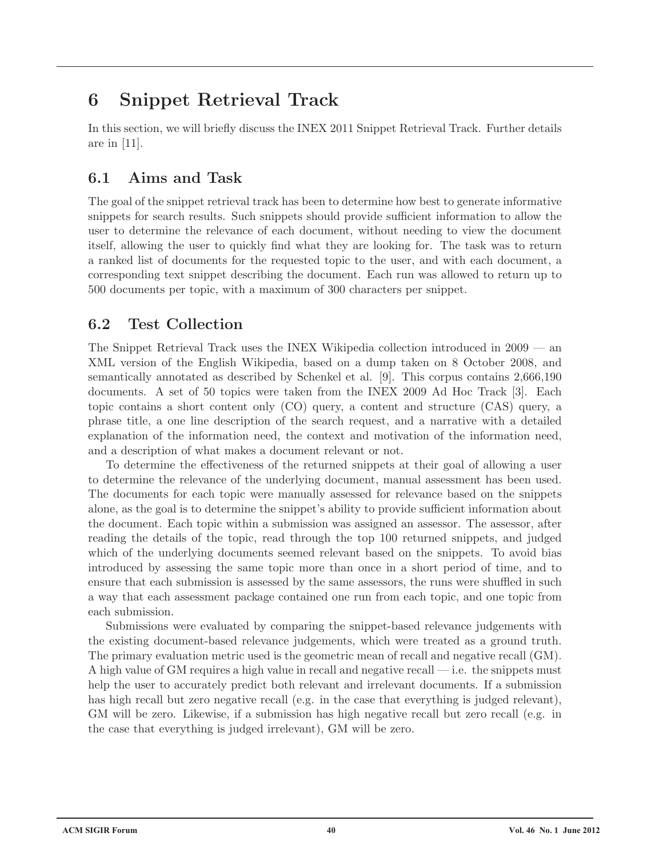# **6 Snippet Retrieval Track**

In this section, we will briefly discuss the INEX 2011 Snippet Retrieval Track. Further details are in [11].

### **6.1 Aims and Task**

The goal of the snippet retrieval track has been to determine how best to generate informative snippets for search results. Such snippets should provide sufficient information to allow the user to determine the relevance of each document, without needing to view the document itself, allowing the user to quickly find what they are looking for. The task was to return a ranked list of documents for the requested topic to the user, and with each document, a corresponding text snippet describing the document. Each run was allowed to return up to 500 documents per topic, with a maximum of 300 characters per snippet.

### **6.2 Test Collection**

The Snippet Retrieval Track uses the INEX Wikipedia collection introduced in 2009 — an XML version of the English Wikipedia, based on a dump taken on 8 October 2008, and semantically annotated as described by Schenkel et al. [9]. This corpus contains 2,666,190 documents. A set of 50 topics were taken from the INEX 2009 Ad Hoc Track [3]. Each topic contains a short content only (CO) query, a content and structure (CAS) query, a phrase title, a one line description of the search request, and a narrative with a detailed explanation of the information need, the context and motivation of the information need, and a description of what makes a document relevant or not.

To determine the effectiveness of the returned snippets at their goal of allowing a user to determine the relevance of the underlying document, manual assessment has been used. The documents for each topic were manually assessed for relevance based on the snippets alone, as the goal is to determine the snippet's ability to provide sufficient information about the document. Each topic within a submission was assigned an assessor. The assessor, after reading the details of the topic, read through the top 100 returned snippets, and judged which of the underlying documents seemed relevant based on the snippets. To avoid bias introduced by assessing the same topic more than once in a short period of time, and to ensure that each submission is assessed by the same assessors, the runs were shuffled in such a way that each assessment package contained one run from each topic, and one topic from each submission.

Submissions were evaluated by comparing the snippet-based relevance judgements with the existing document-based relevance judgements, which were treated as a ground truth. The primary evaluation metric used is the geometric mean of recall and negative recall (GM). A high value of GM requires a high value in recall and negative recall — i.e. the snippets must help the user to accurately predict both relevant and irrelevant documents. If a submission has high recall but zero negative recall (e.g. in the case that everything is judged relevant), GM will be zero. Likewise, if a submission has high negative recall but zero recall (e.g. in the case that everything is judged irrelevant), GM will be zero.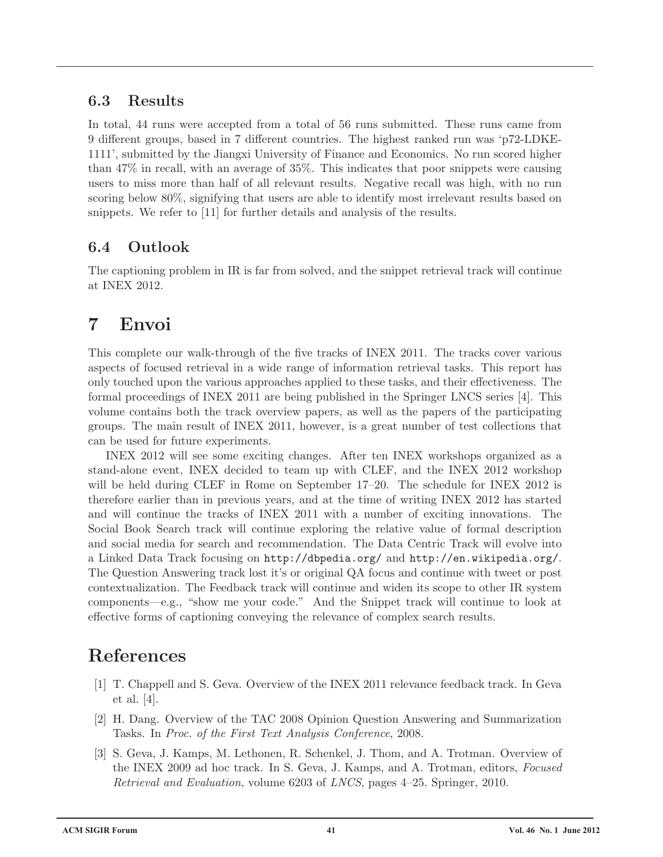### **6.3 Results**

In total, 44 runs were accepted from a total of 56 runs submitted. These runs came from 9 different groups, based in 7 different countries. The highest ranked run was 'p72-LDKE-1111', submitted by the Jiangxi University of Finance and Economics. No run scored higher than 47% in recall, with an average of 35%. This indicates that poor snippets were causing users to miss more than half of all relevant results. Negative recall was high, with no run scoring below 80%, signifying that users are able to identify most irrelevant results based on snippets. We refer to [11] for further details and analysis of the results.

## **6.4 Outlook**

The captioning problem in IR is far from solved, and the snippet retrieval track will continue at INEX 2012.

# **7 Envoi**

This complete our walk-through of the five tracks of INEX 2011. The tracks cover various aspects of focused retrieval in a wide range of information retrieval tasks. This report has only touched upon the various approaches applied to these tasks, and their effectiveness. The formal proceedings of INEX 2011 are being published in the Springer LNCS series [4]. This volume contains both the track overview papers, as well as the papers of the participating groups. The main result of INEX 2011, however, is a great number of test collections that can be used for future experiments.

INEX 2012 will see some exciting changes. After ten INEX workshops organized as a stand-alone event, INEX decided to team up with CLEF, and the INEX 2012 workshop will be held during CLEF in Rome on September 17–20. The schedule for INEX 2012 is therefore earlier than in previous years, and at the time of writing INEX 2012 has started and will continue the tracks of INEX 2011 with a number of exciting innovations. The Social Book Search track will continue exploring the relative value of formal description and social media for search and recommendation. The Data Centric Track will evolve into a Linked Data Track focusing on http://dbpedia.org/ and http://en.wikipedia.org/. The Question Answering track lost it's or original QA focus and continue with tweet or post contextualization. The Feedback track will continue and widen its scope to other IR system components—e.g., "show me your code." And the Snippet track will continue to look at effective forms of captioning conveying the relevance of complex search results.

# **References**

- [1] T. Chappell and S. Geva. Overview of the INEX 2011 relevance feedback track. In Geva et al. [4].
- [2] H. Dang. Overview of the TAC 2008 Opinion Question Answering and Summarization Tasks. In *Proc. of the First Text Analysis Conference*, 2008.
- [3] S. Geva, J. Kamps, M. Lethonen, R. Schenkel, J. Thom, and A. Trotman. Overview of the INEX 2009 ad hoc track. In S. Geva, J. Kamps, and A. Trotman, editors, *Focused Retrieval and Evaluation*, volume 6203 of *LNCS*, pages 4–25. Springer, 2010.